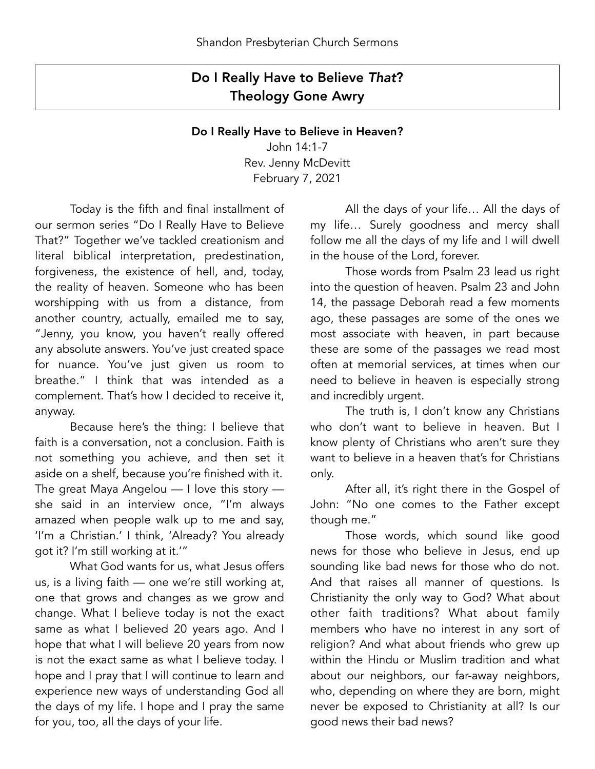## Do I Really Have to Believe *That*? Theology Gone Awry

## Do I Really Have to Believe in Heaven?

John 14:1-7 Rev. Jenny McDevitt February 7, 2021

 Today is the fifth and final installment of our sermon series "Do I Really Have to Believe That?" Together we've tackled creationism and literal biblical interpretation, predestination, forgiveness, the existence of hell, and, today, the reality of heaven. Someone who has been worshipping with us from a distance, from another country, actually, emailed me to say, "Jenny, you know, you haven't really offered any absolute answers. You've just created space for nuance. You've just given us room to breathe." I think that was intended as a complement. That's how I decided to receive it, anyway.

 Because here's the thing: I believe that faith is a conversation, not a conclusion. Faith is not something you achieve, and then set it aside on a shelf, because you're finished with it. The great Maya Angelou — I love this story she said in an interview once, "I'm always amazed when people walk up to me and say, 'I'm a Christian.' I think, 'Already? You already got it? I'm still working at it.'"

 What God wants for us, what Jesus offers us, is a living faith — one we're still working at, one that grows and changes as we grow and change. What I believe today is not the exact same as what I believed 20 years ago. And I hope that what I will believe 20 years from now is not the exact same as what I believe today. I hope and I pray that I will continue to learn and experience new ways of understanding God all the days of my life. I hope and I pray the same for you, too, all the days of your life.

 All the days of your life… All the days of my life… Surely goodness and mercy shall follow me all the days of my life and I will dwell in the house of the Lord, forever.

 Those words from Psalm 23 lead us right into the question of heaven. Psalm 23 and John 14, the passage Deborah read a few moments ago, these passages are some of the ones we most associate with heaven, in part because these are some of the passages we read most often at memorial services, at times when our need to believe in heaven is especially strong and incredibly urgent.

 The truth is, I don't know any Christians who don't want to believe in heaven. But I know plenty of Christians who aren't sure they want to believe in a heaven that's for Christians only.

 After all, it's right there in the Gospel of John: "No one comes to the Father except though me."

 Those words, which sound like good news for those who believe in Jesus, end up sounding like bad news for those who do not. And that raises all manner of questions. Is Christianity the only way to God? What about other faith traditions? What about family members who have no interest in any sort of religion? And what about friends who grew up within the Hindu or Muslim tradition and what about our neighbors, our far-away neighbors, who, depending on where they are born, might never be exposed to Christianity at all? Is our good news their bad news?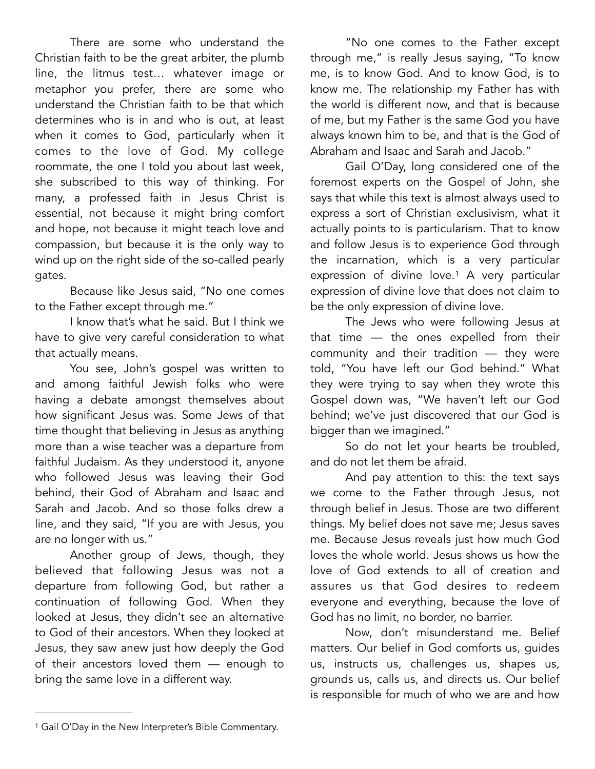There are some who understand the Christian faith to be the great arbiter, the plumb line, the litmus test… whatever image or metaphor you prefer, there are some who understand the Christian faith to be that which determines who is in and who is out, at least when it comes to God, particularly when it comes to the love of God. My college roommate, the one I told you about last week, she subscribed to this way of thinking. For many, a professed faith in Jesus Christ is essential, not because it might bring comfort and hope, not because it might teach love and compassion, but because it is the only way to wind up on the right side of the so-called pearly gates.

 Because like Jesus said, "No one comes to the Father except through me."

 I know that's what he said. But I think we have to give very careful consideration to what that actually means.

 You see, John's gospel was written to and among faithful Jewish folks who were having a debate amongst themselves about how significant Jesus was. Some Jews of that time thought that believing in Jesus as anything more than a wise teacher was a departure from faithful Judaism. As they understood it, anyone who followed Jesus was leaving their God behind, their God of Abraham and Isaac and Sarah and Jacob. And so those folks drew a line, and they said, "If you are with Jesus, you are no longer with us."

 Another group of Jews, though, they believed that following Jesus was not a departure from following God, but rather a continuation of following God. When they looked at Jesus, they didn't see an alternative to God of their ancestors. When they looked at Jesus, they saw anew just how deeply the God of their ancestors loved them — enough to bring the same love in a different way.

 "No one comes to the Father except through me," is really Jesus saying, "To know me, is to know God. And to know God, is to know me. The relationship my Father has with the world is different now, and that is because of me, but my Father is the same God you have always known him to be, and that is the God of Abraham and Isaac and Sarah and Jacob."

 Gail O'Day, long considered one of the foremost experts on the Gospel of John, she says that while this text is almost always used to express a sort of Christian exclusivism, what it actually points to is particularism. That to know and follow Jesus is to experience God through the incarnation, which is a very particular expression of divine love.<sup>[1](#page-1-0)</sup> A very particular expression of divine love that does not claim to be the only expression of divine love.

<span id="page-1-1"></span> The Jews who were following Jesus at that time — the ones expelled from their community and their tradition — they were told, "You have left our God behind." What they were trying to say when they wrote this Gospel down was, "We haven't left our God behind; we've just discovered that our God is bigger than we imagined."

 So do not let your hearts be troubled, and do not let them be afraid.

 And pay attention to this: the text says we come to the Father through Jesus, not through belief in Jesus. Those are two different things. My belief does not save me; Jesus saves me. Because Jesus reveals just how much God loves the whole world. Jesus shows us how the love of God extends to all of creation and assures us that God desires to redeem everyone and everything, because the love of God has no limit, no border, no barrier.

 Now, don't misunderstand me. Belief matters. Our belief in God comforts us, guides us, instructs us, challenges us, shapes us, grounds us, calls us, and directs us. Our belief is responsible for much of who we are and how

<span id="page-1-0"></span><sup>&</sup>lt;sup>[1](#page-1-1)</sup> Gail O'Day in the New Interpreter's Bible Commentary.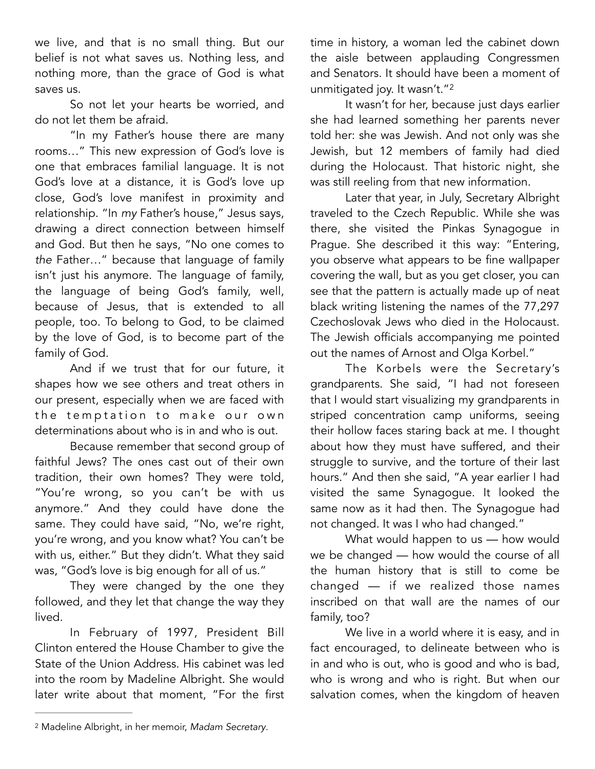we live, and that is no small thing. But our belief is not what saves us. Nothing less, and nothing more, than the grace of God is what saves us.

 So not let your hearts be worried, and do not let them be afraid.

 "In my Father's house there are many rooms…" This new expression of God's love is one that embraces familial language. It is not God's love at a distance, it is God's love up close, God's love manifest in proximity and relationship. "In *my* Father's house," Jesus says, drawing a direct connection between himself and God. But then he says, "No one comes to *the* Father…" because that language of family isn't just his anymore. The language of family, the language of being God's family, well, because of Jesus, that is extended to all people, too. To belong to God, to be claimed by the love of God, is to become part of the family of God.

 And if we trust that for our future, it shapes how we see others and treat others in our present, especially when we are faced with the temptation to make our own determinations about who is in and who is out.

 Because remember that second group of faithful Jews? The ones cast out of their own tradition, their own homes? They were told, "You're wrong, so you can't be with us anymore." And they could have done the same. They could have said, "No, we're right, you're wrong, and you know what? You can't be with us, either." But they didn't. What they said was, "God's love is big enough for all of us."

 They were changed by the one they followed, and they let that change the way they lived.

 In February of 1997, President Bill Clinton entered the House Chamber to give the State of the Union Address. His cabinet was led into the room by Madeline Albright. She would later write about that moment, "For the first time in history, a woman led the cabinet down the aisle between applauding Congressmen and Senators. It should have been a moment of unmitigated joy. It wasn't."<sup>[2](#page-2-0)</sup>

<span id="page-2-1"></span> It wasn't for her, because just days earlier she had learned something her parents never told her: she was Jewish. And not only was she Jewish, but 12 members of family had died during the Holocaust. That historic night, she was still reeling from that new information.

 Later that year, in July, Secretary Albright traveled to the Czech Republic. While she was there, she visited the Pinkas Synagogue in Prague. She described it this way: "Entering, you observe what appears to be fine wallpaper covering the wall, but as you get closer, you can see that the pattern is actually made up of neat black writing listening the names of the 77,297 Czechoslovak Jews who died in the Holocaust. The Jewish officials accompanying me pointed out the names of Arnost and Olga Korbel."

 The Korbels were the Secretary's grandparents. She said, "I had not foreseen that I would start visualizing my grandparents in striped concentration camp uniforms, seeing their hollow faces staring back at me. I thought about how they must have suffered, and their struggle to survive, and the torture of their last hours." And then she said, "A year earlier I had visited the same Synagogue. It looked the same now as it had then. The Synagogue had not changed. It was I who had changed."

 What would happen to us — how would we be changed — how would the course of all the human history that is still to come be changed — if we realized those names inscribed on that wall are the names of our family, too?

 We live in a world where it is easy, and in fact encouraged, to delineate between who is in and who is out, who is good and who is bad, who is wrong and who is right. But when our salvation comes, when the kingdom of heaven

<span id="page-2-0"></span>Madeline Albright, in her memoir, *Madam Secretary*. [2](#page-2-1)